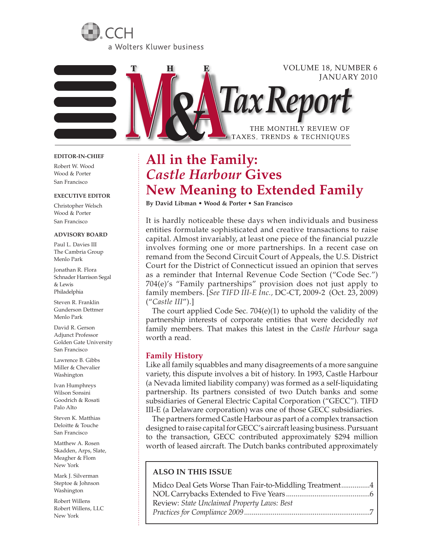



#### **EDITOR-IN-CHIEF**

Robert W. Wood Wood & Porter San Francisco

#### **EXECUTIVE EDITOR**

Christopher Welsch Wood & Porter San Francisco

#### **Advisory Board**

Paul L. Davies III The Cambria Group Menlo Park

Jonathan R. Flora Schnader Harrison Segal & Lewis Philadelphia

Steven R. Franklin Gunderson Dettmer Menlo Park

David R. Gerson Adjunct Professor Golden Gate University San Francisco

Lawrence B. Gibbs Miller & Chevalier Washington

Ivan Humphreys Wilson Sonsini Goodrich & Rosati Palo Alto

Steven K. Matthias Deloitte & Touche San Francisco

Matthew A. Rosen Skadden, Arps, Slate, Meagher & Flom New York

Mark J. Silverman Steptoe & Johnson Washington

Robert Willens Robert Willens, LLC New York

# **All in the Family:**  *Castle Harbour* **Gives New Meaning to Extended Family**

**By David Libman • Wood & Porter • San Francisco**

It is hardly noticeable these days when individuals and business entities formulate sophisticated and creative transactions to raise capital. Almost invariably, at least one piece of the financial puzzle involves forming one or more partnerships. In a recent case on remand from the Second Circuit Court of Appeals, the U.S. District Court for the District of Connecticut issued an opinion that serves as a reminder that Internal Revenue Code Section ("Code Sec.") 704(e)'s "Family partnerships" provision does not just apply to family members. [*See TIFD III-E Inc.,* DC-CT, 2009-2 (Oct. 23, 2009) ("*Castle III*").]

The court applied Code Sec. 704(e)(1) to uphold the validity of the partnership interests of corporate entities that were decidedly *not*  family members. That makes this latest in the *Castle Harbour* saga worth a read.

### **Family History**

Like all family squabbles and many disagreements of a more sanguine variety, this dispute involves a bit of history. In 1993, Castle Harbour (a Nevada limited liability company) was formed as a self-liquidating partnership. Its partners consisted of two Dutch banks and some subsidiaries of General Electric Capital Corporation ("GECC"). TIFD III-E (a Delaware corporation) was one of those GECC subsidiaries.

The partners formed Castle Harbour as part of a complex transaction designed to raise capital for GECC's aircraft leasing business. Pursuant to the transaction, GECC contributed approximately \$294 million worth of leased aircraft. The Dutch banks contributed approximately

### **ALSO IN THIS ISSUE**

| Midco Deal Gets Worse Than Fair-to-Middling Treatment4 |  |
|--------------------------------------------------------|--|
|                                                        |  |
| Review: State Unclaimed Property Laws: Best            |  |
|                                                        |  |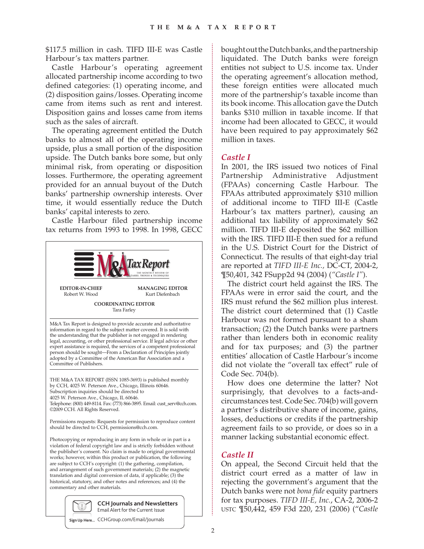\$117.5 million in cash. TIFD III-E was Castle Harbour's tax matters partner.

Castle Harbour's operating agreement allocated partnership income according to two defined categories: (1) operating income, and (2) disposition gains/losses. Operating income came from items such as rent and interest. Disposition gains and losses came from items such as the sales of aircraft.

The operating agreement entitled the Dutch banks to almost all of the operating income upside, plus a small portion of the disposition upside. The Dutch banks bore some, but only minimal risk, from operating or disposition losses. Furthermore, the operating agreement provided for an annual buyout of the Dutch banks' partnership ownership interests. Over time, it would essentially reduce the Dutch banks' capital interests to zero.

Castle Harbour filed partnership income tax returns from 1993 to 1998. In 1998, GECC



Email Alert for the Current Issue

**Sign Up Here...** CCHGroup.com/Email/Journals

bought out the Dutch banks, and the partnership liquidated. The Dutch banks were foreign entities not subject to U.S. income tax. Under the operating agreement's allocation method, these foreign entities were allocated much more of the partnership's taxable income than its book income. This allocation gave the Dutch banks \$310 million in taxable income. If that income had been allocated to GECC, it would have been required to pay approximately \$62 million in taxes.

## *Castle I*

In 2001, the IRS issued two notices of Final Partnership Administrative Adjustment (FPAAs) concerning Castle Harbour. The FPAAs attributed approximately \$310 million of additional income to TIFD III-E (Castle Harbour's tax matters partner), causing an additional tax liability of approximately \$62 million. TIFD III-E deposited the \$62 million with the IRS. TIFD III-E then sued for a refund in the U.S. District Court for the District of Connecticut. The results of that eight-day trial are reported at *TIFD III-E Inc.,* DC-CT, 2004-2, ¶50,401, 342 FSupp2d 94 (2004) (*"Castle I"*).

The district court held against the IRS. The FPAAs were in error said the court, and the IRS must refund the \$62 million plus interest. The district court determined that (1) Castle Harbour was not formed pursuant to a sham transaction; (2) the Dutch banks were partners rather than lenders both in economic reality and for tax purposes; and (3) the partner entities' allocation of Castle Harbour's income did not violate the "overall tax effect" rule of Code Sec. 704(b).

How does one determine the latter? Not surprisingly, that devolves to a facts-andcircumstances test. Code Sec. 704(b) will govern a partner's distributive share of income, gains, losses, deductions or credits if the partnership agreement fails to so provide, or does so in a manner lacking substantial economic effect.

## *Castle II*

On appeal, the Second Circuit held that the district court erred as a matter of law in rejecting the government's argument that the Dutch banks were not *bona fide* equity partners for tax purposes. *TIFD III-E, Inc.*, CA-2, 2006-2 ustc ¶50,442, 459 F3d 220, 231 (2006) ("*Castle*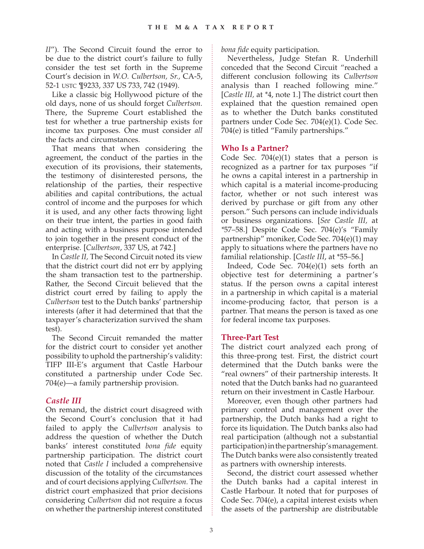*II*"). The Second Circuit found the error to be due to the district court's failure to fully consider the test set forth in the Supreme Court's decision in *W.O. Culbertson, Sr.,* CA-5, 52-1 ustc ¶9233, 337 US 733, 742 (1949).

Like a classic big Hollywood picture of the old days, none of us should forget *Culbertson.* There, the Supreme Court established the test for whether a true partnership exists for income tax purposes. One must consider *all*  the facts and circumstances.

That means that when considering the agreement, the conduct of the parties in the execution of its provisions, their statements, the testimony of disinterested persons, the relationship of the parties, their respective abilities and capital contributions, the actual control of income and the purposes for which it is used, and any other facts throwing light on their true intent, the parties in good faith and acting with a business purpose intended to join together in the present conduct of the enterprise. [*Culbertson*, 337 US, at 742.]

In *Castle II,* The Second Circuit noted its view that the district court did not err by applying the sham transaction test to the partnership. Rather, the Second Circuit believed that the district court erred by failing to apply the *Culbertson* test to the Dutch banks' partnership interests (after it had determined that that the taxpayer's characterization survived the sham test).

The Second Circuit remanded the matter for the district court to consider yet another possibility to uphold the partnership's validity: TIFP III-E's argument that Castle Harbour constituted a partnership under Code Sec. 704(e)—a family partnership provision.

# *Castle III*

On remand, the district court disagreed with the Second Court's conclusion that it had failed to apply the *Culbertson* analysis to address the question of whether the Dutch banks' interest constituted *bona fide* equity partnership participation. The district court noted that *Castle I* included a comprehensive discussion of the totality of the circumstances and of court decisions applying *Culbertson.* The district court emphasized that prior decisions considering *Culbertson* did not require a focus on whether the partnership interest constituted *bona fide* equity participation.

Nevertheless, Judge Stefan R. Underhill conceded that the Second Circuit "reached a different conclusion following its *Culbertson*  analysis than I reached following mine." [*Castle III,* at *\**4, note 1.] The district court then explained that the question remained open as to whether the Dutch banks constituted partners under Code Sec. 704(e)(1). Code Sec. 704(e) is titled "Family partnerships."

## **Who Is a Partner?**

Code Sec.  $704(e)(1)$  states that a person is recognized as a partner for tax purposes "if he owns a capital interest in a partnership in which capital is a material income-producing factor, whether or not such interest was derived by purchase or gift from any other person." Such persons can include individuals or business organizations. [*See Castle III,* at *\**57–58.] Despite Code Sec. 704(e)'s "Family partnership" moniker, Code Sec. 704(e)(1) may apply to situations where the partners have no familial relationship. [*Castle III*, at \*55–56.]

Indeed, Code Sec. 704(e)(1) sets forth an objective test for determining a partner's status. If the person owns a capital interest in a partnership in which capital is a material income-producing factor, that person is a partner. That means the person is taxed as one for federal income tax purposes.

# **Three-Part Test**

The district court analyzed each prong of this three-prong test. First, the district court determined that the Dutch banks were the "real owners" of their partnership interests. It noted that the Dutch banks had no guaranteed return on their investment in Castle Harbour.

Moreover, even though other partners had primary control and management over the partnership, the Dutch banks had a right to force its liquidation. The Dutch banks also had real participation (although not a substantial participation) in the partnership's management. The Dutch banks were also consistently treated as partners with ownership interests.

Second, the district court assessed whether the Dutch banks had a capital interest in Castle Harbour. It noted that for purposes of Code Sec. 704(e), a capital interest exists when the assets of the partnership are distributable